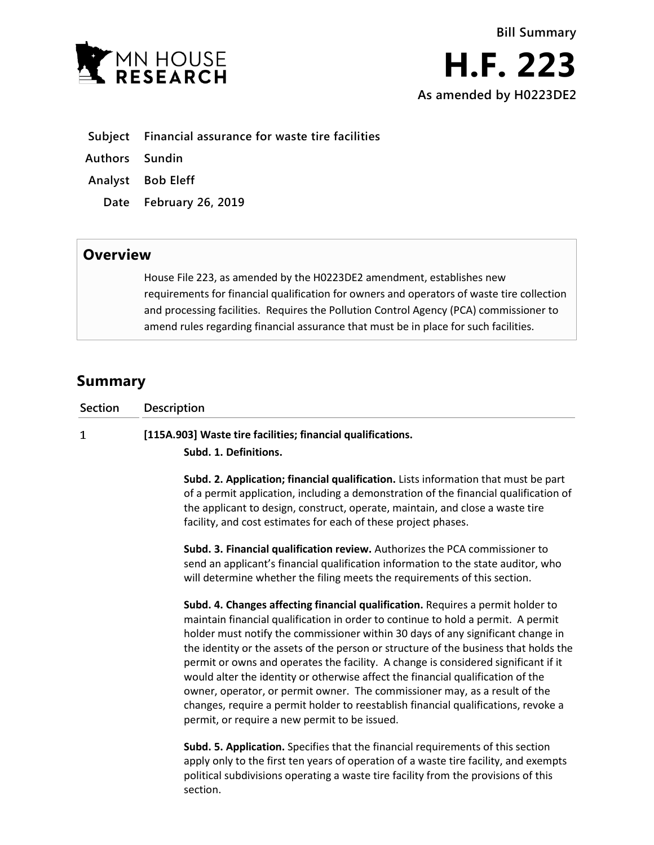

**Authors Sundin**

- **Analyst Bob Eleff**
	- **Date February 26, 2019**

## **Overview**

House File 223, as amended by the H0223DE2 amendment, establishes new requirements for financial qualification for owners and operators of waste tire collection and processing facilities. Requires the Pollution Control Agency (PCA) commissioner to amend rules regarding financial assurance that must be in place for such facilities.

## **Summary**

| <b>Description</b>                                                                                                                                                         |
|----------------------------------------------------------------------------------------------------------------------------------------------------------------------------|
| [115A.903] Waste tire facilities; financial qualifications.                                                                                                                |
| Subd. 1. Definitions.                                                                                                                                                      |
| Subd. 2. Application; financial qualification. Lists information that must be part<br>of a nermit application, including a demonstration of the financial qualification of |
|                                                                                                                                                                            |

of a permit application, including a demonstration of the financial qualification of the applicant to design, construct, operate, maintain, and close a waste tire facility, and cost estimates for each of these project phases.

**Subd. 3. Financial qualification review.** Authorizes the PCA commissioner to send an applicant's financial qualification information to the state auditor, who will determine whether the filing meets the requirements of this section.

**Subd. 4. Changes affecting financial qualification.** Requires a permit holder to maintain financial qualification in order to continue to hold a permit. A permit holder must notify the commissioner within 30 days of any significant change in the identity or the assets of the person or structure of the business that holds the permit or owns and operates the facility. A change is considered significant if it would alter the identity or otherwise affect the financial qualification of the owner, operator, or permit owner. The commissioner may, as a result of the changes, require a permit holder to reestablish financial qualifications, revoke a permit, or require a new permit to be issued.

**Subd. 5. Application.** Specifies that the financial requirements of this section apply only to the first ten years of operation of a waste tire facility, and exempts political subdivisions operating a waste tire facility from the provisions of this section.